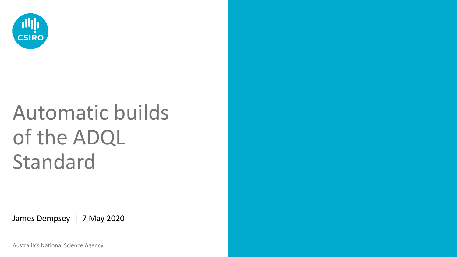

# Automatic builds of the ADQL Standard

James Dempsey | 7 May 2020

Australia's National Science Agency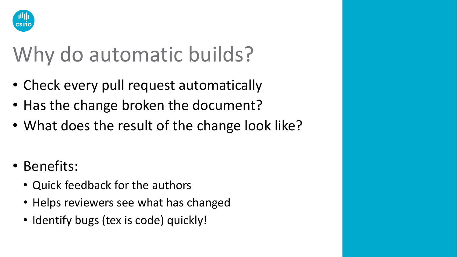

## Why do automatic builds?

- Check every pull request automatically
- Has the change broken the document?
- What does the result of the change look like?
- Benefits:
	- Quick feedback for the authors
	- Helps reviewers see what has changed
	- Identify bugs (tex is code) quickly!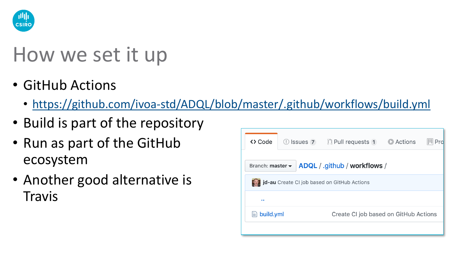

#### How we set it up

- GitHub Actions
	- <https://github.com/ivoa-std/ADQL/blob/master/.github/workflows/build.yml>
- Build is part of the repository
- Run as part of the GitHub ecosystem
- Another good alternative is **Travis**

| <> Code                                                 |  | <b>D</b> Issues 7 <b>1</b> Pull requests 1 | Actions |  |  |  |  |  |  |  |
|---------------------------------------------------------|--|--------------------------------------------|---------|--|--|--|--|--|--|--|
| ADQL / .github / workflows /<br>Branch: master -        |  |                                            |         |  |  |  |  |  |  |  |
| jd-au Create CI job based on GitHub Actions             |  |                                            |         |  |  |  |  |  |  |  |
| $\bullet$                                               |  |                                            |         |  |  |  |  |  |  |  |
| build.yml<br>⊫<br>Create CI job based on GitHub Actions |  |                                            |         |  |  |  |  |  |  |  |
|                                                         |  |                                            |         |  |  |  |  |  |  |  |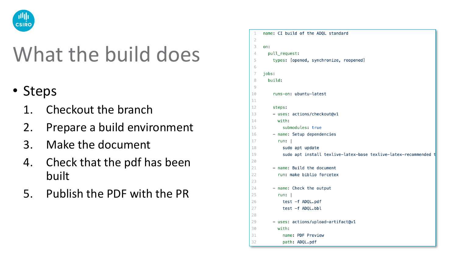

#### What the build does

- Steps
	- 1. Checkout the branch
	- 2. Prepare a build environment
	- 3. Make the document
	- 4. Check that the pdf has been built
	- 5. Publish the PDF with the PR

```
name: CI build of the ADQL standard
\overline{z}3
    on:
\overline{4}pull_request:
5
         types: [opened, synchronize, reopened]
6
\overline{7}jobs:
8
       build:
Qruns-on: ubuntu-latest
10
1112
         steps:
13
         - uses: actions/checkout@v1
14with:
15
              submodules: true
16
         - name: Setup dependencies
17
           run:18
             sudo apt update
             sudo apt install texlive-latex-base texlive-latex-recommended
19
20
21- name: Build the document
22
           run: make biblio forcetex
23
         - name: Check the output
24
25
           run: |26
             test -f ADQL.pdf
27
             test -f ADQL.bbl
28
29
         - uses: actions/upload-artifact@v1
30
           with:
31
             name: PDF Preview
32
             path: ADQL.pdf
```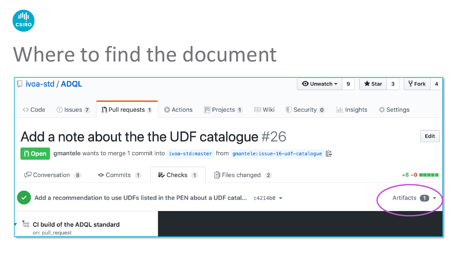

#### Where to find the document

| □ ivoa-std / ADQL                                                                                                                                                                                                                                        |                                                                                              |                          |               | $\odot$ Unwatch $\star$ | 9                      | $\bigstar$ Star | 3                 | $\sqrt{2}$ Fork<br>4 |  |
|----------------------------------------------------------------------------------------------------------------------------------------------------------------------------------------------------------------------------------------------------------|----------------------------------------------------------------------------------------------|--------------------------|---------------|-------------------------|------------------------|-----------------|-------------------|----------------------|--|
| <> Code<br>$\left( \left  \right  \right)$ Issues 7                                                                                                                                                                                                      | Actions<br>$\int$ Pull requests 1                                                            | III Projects 1           | <b>国 Wiki</b> | Security 0              | $\frac{1}{2}$ Insights |                 | <b>☆ Settings</b> |                      |  |
| Add a note about the the UDF catalogue $#26$<br>Edit                                                                                                                                                                                                     |                                                                                              |                          |               |                         |                        |                 |                   |                      |  |
| <b>n</b> Open                                                                                                                                                                                                                                            | gmantele wants to merge 1 commit into ivoa-std:master from gmantele:issue-16-udf-catalogue 良 |                          |               |                         |                        |                 |                   |                      |  |
| [Conversation 8]<br><b>-O-</b> Commits 1                                                                                                                                                                                                                 | <b>x</b> Checks 1                                                                            | <b>h</b> Files changed 2 |               |                         |                        |                 |                   | $+8-0$ minimi        |  |
| Add a recommendation to use UDFs listed in the PEN about a UDF catal $c4214b0 \rightarrow$<br>Artifacts                                                                                                                                                  |                                                                                              |                          |               |                         |                        |                 |                   |                      |  |
| <b>Example 20 Up 10 Up 10 Up 10 Up 10 Up 10 Up 10 Up 10 Up 10 Up 10 Up 10 Up 10 Up 10 Up 10 Up 10 Up 10 Up 10 Up 10 Up 10 Up 10 Up 10 Up 10 Up 10 Up 10 Up 10 Up 10 Up 10 Up 10 Up 10 Up 10 Up 10 Up 10 Up 10 Up 10 Up 10 Up 10 </b><br>on: pull_request |                                                                                              |                          |               |                         |                        |                 |                   |                      |  |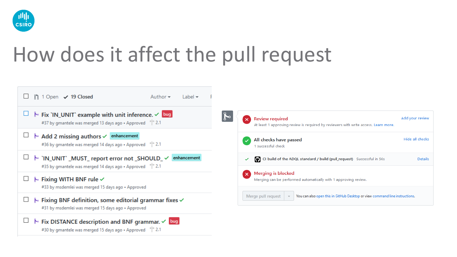

### How does it affect the pull request

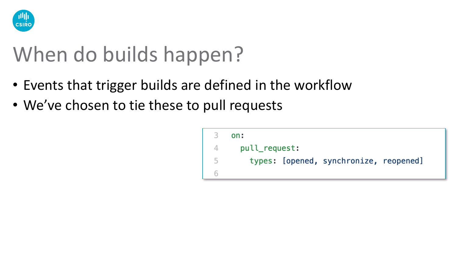

### When do builds happen?

- Events that trigger builds are defined in the workflow
- We've chosen to tie these to pull requests

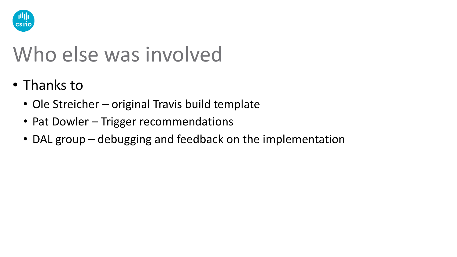

### Who else was involved

- Thanks to
	- Ole Streicher original Travis build template
	- Pat Dowler Trigger recommendations
	- DAL group debugging and feedback on the implementation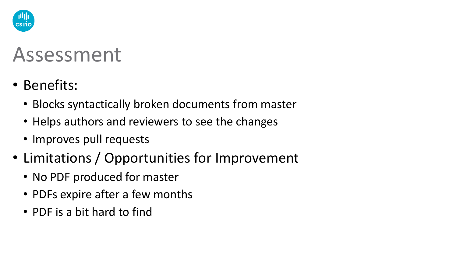

#### Assessment

- Benefits:
	- Blocks syntactically broken documents from master
	- Helps authors and reviewers to see the changes
	- Improves pull requests
- Limitations / Opportunities for Improvement
	- No PDF produced for master
	- PDFs expire after a few months
	- PDF is a bit hard to find